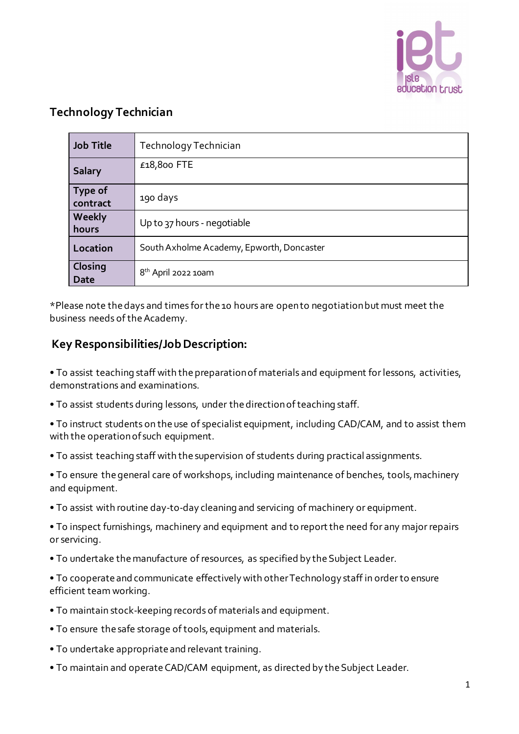

## **Technology Technician**

| <b>Job Title</b>           | Technology Technician                     |
|----------------------------|-------------------------------------------|
| <b>Salary</b>              | £18,800 FTE                               |
| <b>Type of</b><br>contract | 190 days                                  |
| Weekly<br>hours            | Up to 37 hours - negotiable               |
| Location                   | South Axholme Academy, Epworth, Doncaster |
| Closing<br><b>Date</b>     | 8 <sup>th</sup> April 2022 10am           |

\*Please note the days and times for the 10 hours are open to negotiation but must meet the business needs of the Academy.

## **Key Responsibilities/Job Description:**

• To assist teaching staff with the preparation of materials and equipment for lessons, activities, demonstrations and examinations.

• To assist students during lessons, under the direction of teaching staff.

• To instruct students on the use of specialist equipment, including CAD/CAM, and to assist them with the operation of such equipment.

• To assist teaching staff with the supervision of students during practical assignments.

• To ensure the general care of workshops, including maintenance of benches, tools, machinery and equipment.

• To assist with routine day-to-day cleaning and servicing of machinery or equipment.

• To inspect furnishings, machinery and equipment and to report the need for any major repairs or servicing.

• To undertake the manufacture of resources, as specified by the Subject Leader.

• To cooperate and communicate effectively with other Technology staff in order to ensure efficient team working.

- To maintain stock-keeping records of materials and equipment.
- To ensure the safe storage of tools, equipment and materials.
- To undertake appropriate and relevant training.
- To maintain and operate CAD/CAM equipment, as directed by the Subject Leader.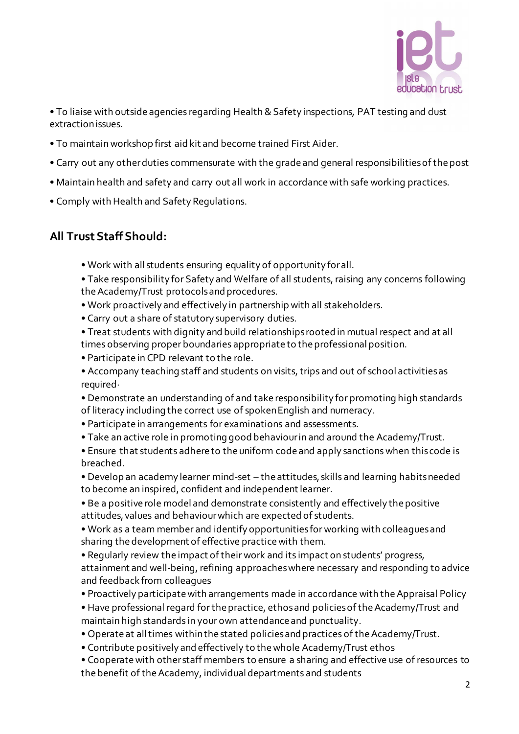

• To liaise with outside agencies regarding Health & Safety inspections, PAT testing and dust extraction issues.

- To maintain workshop first aid kit and become trained First Aider.
- Carry out any other duties commensurate with the grade and general responsibilities of the post
- Maintain health and safety and carry out all work in accordance with safe working practices.
- Comply with Health and Safety Regulations.

### **All Trust Staff Should:**

• Work with all students ensuring equality of opportunity for all.

• Take responsibility for Safety and Welfare of all students, raising any concerns following the Academy/Trust protocols and procedures.

- Work proactively and effectively in partnership with all stakeholders.
- Carry out a share of statutory supervisory duties.
- Treat students with dignity and build relationships rooted in mutual respect and at all times observing proper boundaries appropriate to the professional position.
- Participate in CPD relevant to the role.
- Accompany teaching staff and students on visits, trips and out of school activities as required·
- Demonstrate an understanding of and take responsibility for promoting high standards of literacy including the correct use of spoken English and numeracy.
- Participate in arrangements for examinations and assessments.
- Take an active role in promoting good behaviour in and around the Academy/Trust.
- Ensure that students adhere to the uniform code and apply sanctions when this code is breached.

• Develop an academy learner mind-set – the attitudes, skills and learning habits needed to become an inspired, confident and independent learner.

- Be a positive role model and demonstrate consistently and effectively the positive attitudes, values and behaviour which are expected of students.
- Work as a team member and identify opportunities for working with colleagues and sharing the development of effective practice with them.

• Regularly review the impact of their work and its impact on students' progress, attainment and well-being, refining approaches where necessary and responding to advice and feedback from colleagues

- Proactively participate with arrangements made in accordance with the Appraisal Policy
- Have professional regard for the practice, ethos and policies of the Academy/Trust and maintain high standards in your own attendance and punctuality.
- Operate at all times within the stated policies and practices of the Academy/Trust.
- Contribute positively and effectively to the whole Academy/Trust ethos

• Cooperate with other staff members to ensure a sharing and effective use of resources to the benefit of the Academy, individual departments and students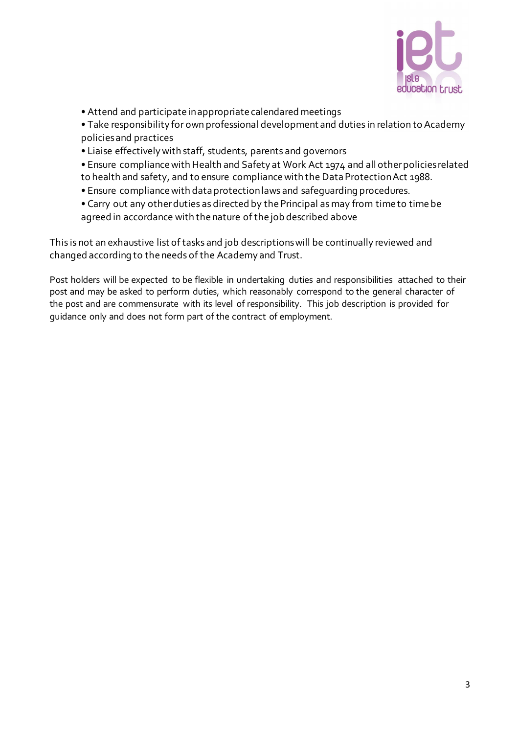

• Attend and participate in appropriate calendared meetings

• Take responsibility for own professional development and duties in relation to Academy policies and practices

- Liaise effectively with staff, students, parents and governors
- Ensure compliance with Health and Safety at Work Act 1974 and all other policies related to health and safety, and to ensure compliance with the Data Protection Act 1988.
- Ensure compliance with data protection laws and safeguarding procedures.
- Carry out any other duties as directed by the Principal as may from time to time be agreed in accordance with the nature of the job described above

This is not an exhaustive list of tasks and job descriptions will be continually reviewed and changed according to the needs of the Academy and Trust.

Post holders will be expected to be flexible in undertaking duties and responsibilities attached to their post and may be asked to perform duties, which reasonably correspond to the general character of the post and are commensurate with its level of responsibility. This job description is provided for guidance only and does not form part of the contract of employment.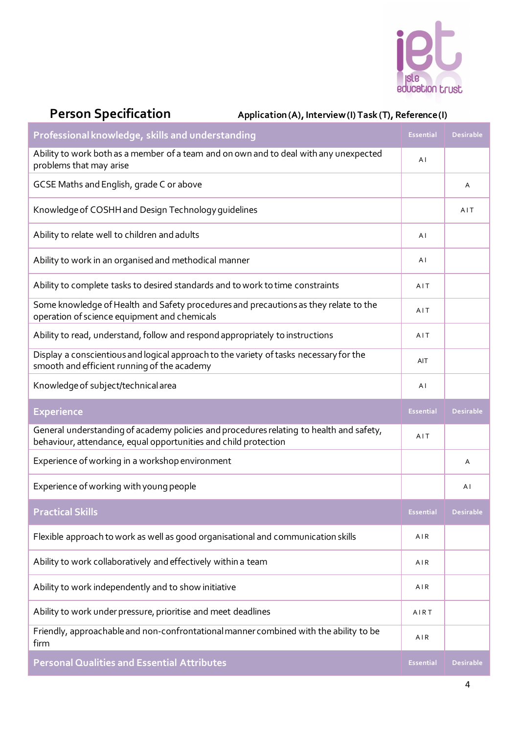

# Person Specification Application (A), Interview (I) Task (T), Reference (I)

| Professional knowledge, skills and understanding                                                                                                           | <b>Essential</b> | <b>Desirable</b> |
|------------------------------------------------------------------------------------------------------------------------------------------------------------|------------------|------------------|
| Ability to work both as a member of a team and on own and to deal with any unexpected<br>problems that may arise                                           | ΑI               |                  |
| GCSE Maths and English, grade C or above                                                                                                                   |                  | Α                |
| Knowledge of COSHH and Design Technology guidelines                                                                                                        |                  | AIT              |
| Ability to relate well to children and adults                                                                                                              | ΑI               |                  |
| Ability to work in an organised and methodical manner                                                                                                      | ΑI               |                  |
| Ability to complete tasks to desired standards and to work to time constraints                                                                             | AIT              |                  |
| Some knowledge of Health and Safety procedures and precautions as they relate to the<br>operation of science equipment and chemicals                       | AIT              |                  |
| Ability to read, understand, follow and respond appropriately to instructions                                                                              | AIT              |                  |
| Display a conscientious and logical approach to the variety of tasks necessary for the<br>smooth and efficient running of the academy                      | AIT              |                  |
| Knowledge of subject/technical area                                                                                                                        | AI               |                  |
|                                                                                                                                                            |                  |                  |
| <b>Experience</b>                                                                                                                                          | <b>Essential</b> | <b>Desirable</b> |
| General understanding of academy policies and procedures relating to health and safety,<br>behaviour, attendance, equal opportunities and child protection | AIT              |                  |
| Experience of working in a workshop environment                                                                                                            |                  | Α                |
| Experience of working with young people                                                                                                                    |                  | ΑI               |
| <b>Practical Skills</b>                                                                                                                                    | <b>Essential</b> | <b>Desirable</b> |
| Flexible approach to work as well as good organisational and communication skills                                                                          | AIR              |                  |
| Ability to work collaboratively and effectively within a team                                                                                              | AIR              |                  |
| Ability to work independently and to show initiative                                                                                                       | AIR              |                  |
| Ability to work under pressure, prioritise and meet deadlines                                                                                              | AIRT             |                  |
| Friendly, approachable and non-confrontational manner combined with the ability to be<br>firm                                                              | AIR              |                  |